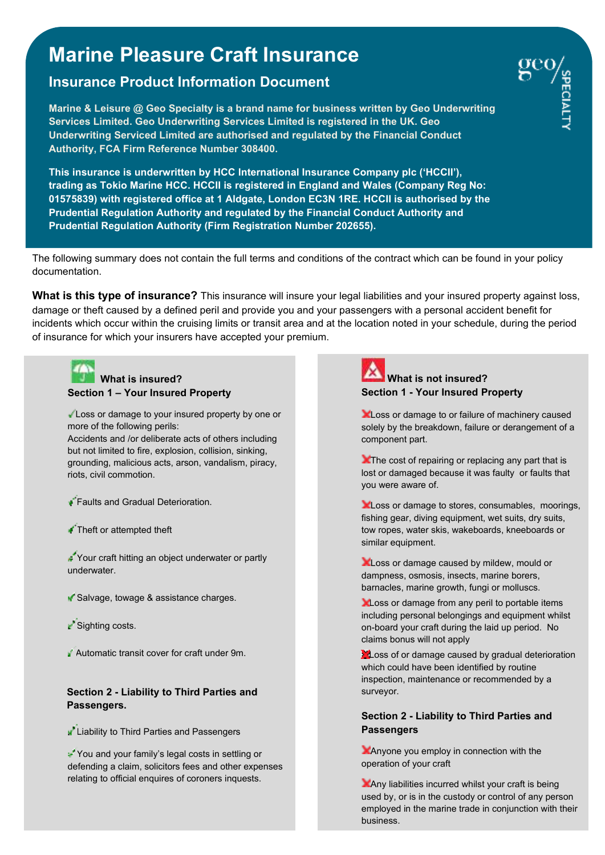# **Marine Pleasure Craft Insurance**

## **Insurance Product Information Document**

 **Authority, FCA Firm Reference Number 308400. Marine & Leisure @ Geo Specialty is a brand name for business written by Geo Underwriting Services Limited. Geo Underwriting Services Limited is registered in the UK. Geo Underwriting Serviced Limited are authorised and regulated by the Financial Conduct** 

**This insurance is underwritten by HCC International Insurance Company plc ('HCCII'), trading as Tokio Marine HCC. HCCII is registered in England and Wales (Company Reg No: 01575839) with registered office at 1 Aldgate, London EC3N 1RE. HCCII is authorised by the Prudential Regulation Authority and regulated by the Financial Conduct Authority and Prudential Regulation Authority (Firm Registration Number 202655).** 

The following summary does not contain the full terms and conditions of the contract which can be found in your policy documentation.

**What is this type of insurance?** This insurance will insure your legal liabilities and your insured property against loss, damage or theft caused by a defined peril and provide you and your passengers with a personal accident benefit for incidents which occur within the cruising limits or transit area and at the location noted in your schedule, during the period of insurance for which your insurers have accepted your premium.



### **What is insured? Section 1 – Your Insured Property**

Loss or damage to your insured property by one or more of the following perils:

Accidents and /or deliberate acts of others including but not limited to fire, explosion, collision, sinking, grounding, malicious acts, arson, vandalism, piracy, riots, civil commotion.

- **Faults and Gradual Deterioration.**
- Theft or attempted theft

Your craft hitting an object underwater or partly underwater.

- Salvage, towage & assistance charges.
- Sighting costs.
- Automatic transit cover for craft under 9m.

### **Section 2 - Liability to Third Parties and Passengers.**

**A** Liability to Third Parties and Passengers

You and your family's legal costs in settling or defending a claim, solicitors fees and other expenses relating to official enquires of coroners inquests.



**XLoss or damage to or failure of machinery caused** solely by the breakdown, failure or derangement of a component part.

**The cost of repairing or replacing any part that is** lost or damaged because it was faulty or faults that you were aware of.

**Loss or damage to stores, consumables, moorings,** fishing gear, diving equipment, wet suits, dry suits, tow ropes, water skis, wakeboards, kneeboards or similar equipment.

**Let** Loss or damage caused by mildew, mould or dampness, osmosis, insects, marine borers, barnacles, marine growth, fungi or molluscs.

**XLoss or damage from any peril to portable items** including personal belongings and equipment whilst on-board your craft during the laid up period. No claims bonus will not apply

**Loss of or damage caused by gradual deterioration** which could have been identified by routine inspection, maintenance or recommended by a surveyor.

### **Section 2 - Liability to Third Parties and Passengers**

Anyone you employ in connection with the operation of your craft

 Page **1** of **<sup>3</sup>** Any liabilities incurred whilst your craft is being used by, or is in the custody or control of any person employed in the marine trade in conjunction with their business.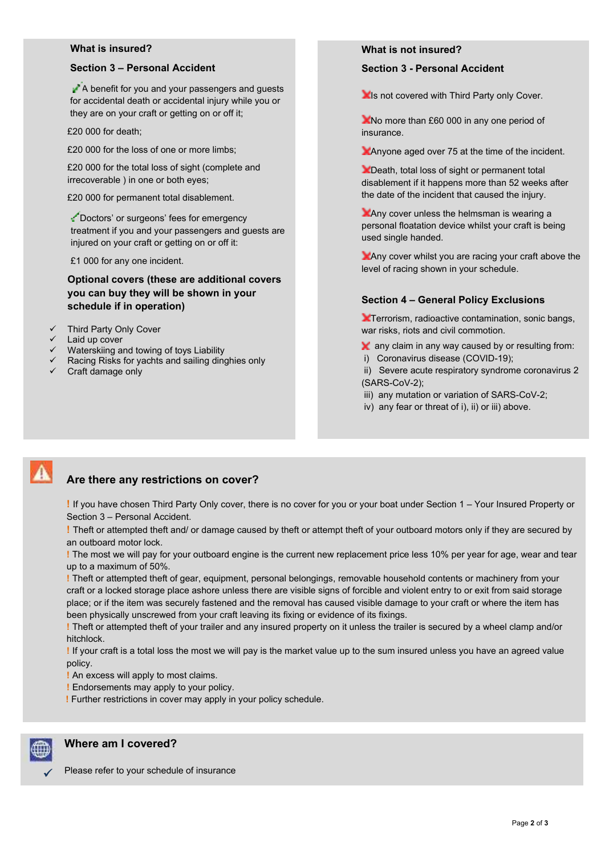### **What is insured?**

### **Section 3 – Personal Accident**

A benefit for you and your passengers and guests for accidental death or accidental injury while you or they are on your craft or getting on or off it;

£20 000 for death;

£20 000 for the loss of one or more limbs;

£20 000 for the total loss of sight (complete and irrecoverable ) in one or both eyes;

£20 000 for permanent total disablement.

Doctors' or surgeons' fees for emergency treatment if you and your passengers and guests are injured on your craft or getting on or off it:

£1 000 for any one incident.

**Optional covers (these are additional covers you can buy they will be shown in your schedule if in operation)** 

- $\checkmark$  Third Party Only Cover
- $\checkmark$  Laid up cover
- $\checkmark$  Waterskiing and towing of toys Liability
- $\checkmark$  Racing Risks for yachts and sailing dinghies only
- $\checkmark$  Craft damage only

**What is not insured?**

**Section 3 - Personal Accident** 

**Is not covered with Third Party only Cover.** 

No more than £60 000 in any one period of insurance.

Anyone aged over 75 at the time of the incident.

**X** Death, total loss of sight or permanent total disablement if it happens more than 52 weeks after the date of the incident that caused the injury.

**X** Any cover unless the helmsman is wearing a personal floatation device whilst your craft is being used single handed.

Any cover whilst you are racing your craft above the level of racing shown in your schedule.

### **Section 4 – General Policy Exclusions**

**Terrorism, radioactive contamination, sonic bangs,** war risks, riots and civil commotion.

- **X** any claim in any way caused by or resulting from:
- i) Coronavirus disease (COVID-19);

 ii) Severe acute respiratory syndrome coronavirus 2 (SARS-CoV-2);

- iii) any mutation or variation of SARS-CoV-2;
- iv) any fear or threat of i), ii) or iii) above.

### **Are there any restrictions on cover?**

**!** If you have chosen Third Party Only cover, there is no cover for you or your boat under Section 1 – Your Insured Property or Section 3 – Personal Accident.

**!** Theft or attempted theft and/ or damage caused by theft or attempt theft of your outboard motors only if they are secured by an outboard motor lock.

**!** The most we will pay for your outboard engine is the current new replacement price less 10% per year for age, wear and tear up to a maximum of 50%.

**!** Theft or attempted theft of gear, equipment, personal belongings, removable household contents or machinery from your craft or a locked storage place ashore unless there are visible signs of forcible and violent entry to or exit from said storage place; or if the item was securely fastened and the removal has caused visible damage to your craft or where the item has been physically unscrewed from your craft leaving its fixing or evidence of its fixings.

**!** Theft or attempted theft of your trailer and any insured property on it unless the trailer is secured by a wheel clamp and/or hitchlock.

**!** If your craft is a total loss the most we will pay is the market value up to the sum insured unless you have an agreed value policy.

**!** An excess will apply to most claims.

**!** Endorsements may apply to your policy.

 **!** Further restrictions in cover may apply in your policy schedule.



 $\checkmark$ 

### **Where am I covered?**

Please refer to your schedule of insurance